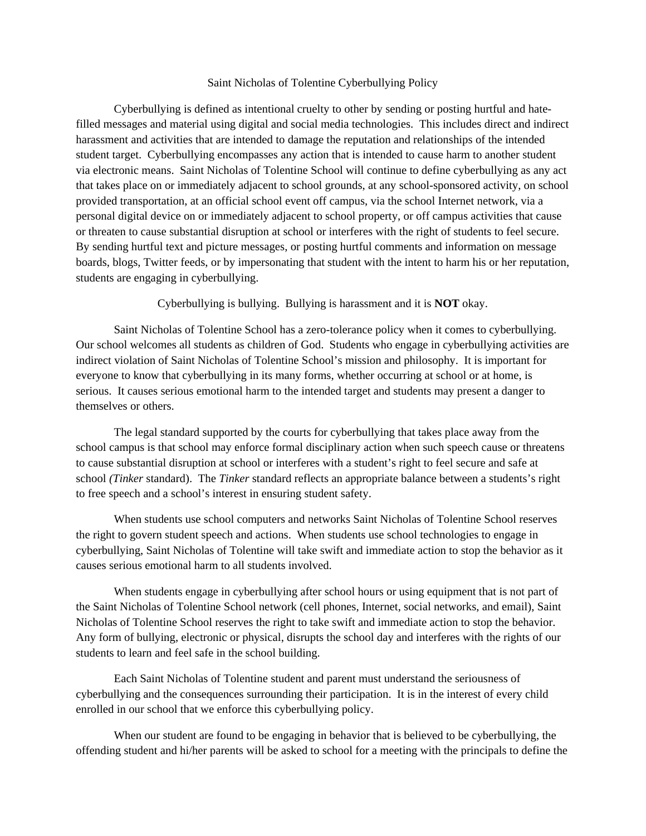## Saint Nicholas of Tolentine Cyberbullying Policy

Cyberbullying is defined as intentional cruelty to other by sending or posting hurtful and hatefilled messages and material using digital and social media technologies. This includes direct and indirect harassment and activities that are intended to damage the reputation and relationships of the intended student target. Cyberbullying encompasses any action that is intended to cause harm to another student via electronic means. Saint Nicholas of Tolentine School will continue to define cyberbullying as any act that takes place on or immediately adjacent to school grounds, at any school-sponsored activity, on school provided transportation, at an official school event off campus, via the school Internet network, via a personal digital device on or immediately adjacent to school property, or off campus activities that cause or threaten to cause substantial disruption at school or interferes with the right of students to feel secure. By sending hurtful text and picture messages, or posting hurtful comments and information on message boards, blogs, Twitter feeds, or by impersonating that student with the intent to harm his or her reputation, students are engaging in cyberbullying.

Cyberbullying is bullying. Bullying is harassment and it is **NOT** okay.

 Saint Nicholas of Tolentine School has a zero-tolerance policy when it comes to cyberbullying. Our school welcomes all students as children of God. Students who engage in cyberbullying activities are indirect violation of Saint Nicholas of Tolentine School's mission and philosophy. It is important for everyone to know that cyberbullying in its many forms, whether occurring at school or at home, is serious. It causes serious emotional harm to the intended target and students may present a danger to themselves or others.

 The legal standard supported by the courts for cyberbullying that takes place away from the school campus is that school may enforce formal disciplinary action when such speech cause or threatens to cause substantial disruption at school or interferes with a student's right to feel secure and safe at school *(Tinker* standard). The *Tinker* standard reflects an appropriate balance between a students's right to free speech and a school's interest in ensuring student safety.

 When students use school computers and networks Saint Nicholas of Tolentine School reserves the right to govern student speech and actions. When students use school technologies to engage in cyberbullying, Saint Nicholas of Tolentine will take swift and immediate action to stop the behavior as it causes serious emotional harm to all students involved.

 When students engage in cyberbullying after school hours or using equipment that is not part of the Saint Nicholas of Tolentine School network (cell phones, Internet, social networks, and email), Saint Nicholas of Tolentine School reserves the right to take swift and immediate action to stop the behavior. Any form of bullying, electronic or physical, disrupts the school day and interferes with the rights of our students to learn and feel safe in the school building.

 Each Saint Nicholas of Tolentine student and parent must understand the seriousness of cyberbullying and the consequences surrounding their participation. It is in the interest of every child enrolled in our school that we enforce this cyberbullying policy.

 When our student are found to be engaging in behavior that is believed to be cyberbullying, the offending student and hi/her parents will be asked to school for a meeting with the principals to define the